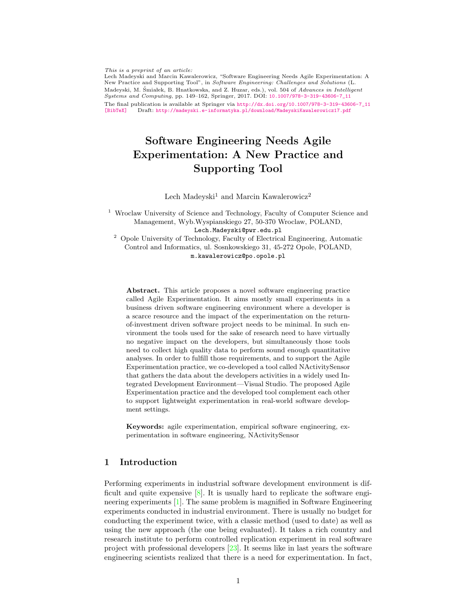This is a preprint of an article:

Lech Madeyski and Marcin Kawalerowicz, "Software Engineering Needs Agile Experimentation: A New Practice and Supporting Tool", in Software Engineering: Challenges and Solutions (L. Madeyski, M. Śmiałek, B. Hnatkowska, and Z. Huzar, eds.), vol. 504 of Advances in Intelligent Systems and Computing, pp. 149–162, Springer, 2017. DOI: [10.1007/978-3-319-43606-7\\_11](http://dx.doi.org/10.1007/978-3-319-43606-7_11) The final publication is available at Springer via [http://dx.doi.org/10.1007/978-3-319-43606-7\\_11](http://dx.doi.org/10.1007/978-3-319-43606-7_11)<br>
[BibTeX] Draft: http://madeyski.e-informatyka.pl/download/MadeyskiKawalerowicz17.pdf Draft: <http://madeyski.e-informatyka.pl/download/MadeyskiKawalerowicz17.pdf>

# Software Engineering Needs Agile Experimentation: A New Practice and Supporting Tool

Lech Madeyski<sup>1</sup> and Marcin Kawalerowicz<sup>2</sup>

<sup>1</sup> Wroclaw University of Science and Technology, Faculty of Computer Science and Management, Wyb.Wyspianskiego 27, 50-370 Wroclaw, POLAND, Lech.Madeyski@pwr.edu.pl <sup>2</sup> Opole University of Technology, Faculty of Electrical Engineering, Automatic

Control and Informatics, ul. Sosnkowskiego 31, 45-272 Opole, POLAND, m.kawalerowicz@po.opole.pl

Abstract. This article proposes a novel software engineering practice called Agile Experimentation. It aims mostly small experiments in a business driven software engineering environment where a developer is a scarce resource and the impact of the experimentation on the returnof-investment driven software project needs to be minimal. In such environment the tools used for the sake of research need to have virtually no negative impact on the developers, but simultaneously those tools need to collect high quality data to perform sound enough quantitative analyses. In order to fulfill those requirements, and to support the Agile Experimentation practice, we co-developed a tool called NActivitySensor that gathers the data about the developers activities in a widely used Integrated Development Environment—Visual Studio. The proposed Agile Experimentation practice and the developed tool complement each other to support lightweight experimentation in real-world software development settings.

Keywords: agile experimentation, empirical software engineering, experimentation in software engineering, NActivitySensor

## 1 Introduction

Performing experiments in industrial software development environment is difficult and quite expensive  $[8]$ . It is usually hard to replicate the software engineering experiments [\[1\]](#page-11-1). The same problem is magnified in Software Engineering experiments conducted in industrial environment. There is usually no budget for conducting the experiment twice, with a classic method (used to date) as well as using the new approach (the one being evaluated). It takes a rich country and research institute to perform controlled replication experiment in real software project with professional developers [\[23\]](#page-12-0). It seems like in last years the software engineering scientists realized that there is a need for experimentation. In fact,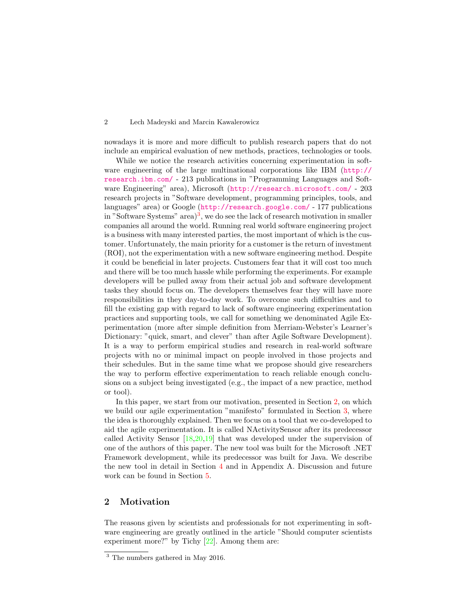nowadays it is more and more difficult to publish research papers that do not include an empirical evaluation of new methods, practices, technologies or tools.

While we notice the research activities concerning experimentation in software engineering of the large multinational corporations like IBM ([http://](http://research.ibm.com/) [research.ibm.com/](http://research.ibm.com/) - 213 publications in "Programming Languages and Software Engineering" area), Microsoft (<http://research.microsoft.com/> - 203 research projects in "Software development, programming principles, tools, and languages" area) or Google (<http://research.google.com/> - 177 publications in "Software Systems" area)<sup>[3](#page-1-0)</sup>, we do see the lack of research motivation in smaller companies all around the world. Running real world software engineering project is a business with many interested parties, the most important of which is the customer. Unfortunately, the main priority for a customer is the return of investment (ROI), not the experimentation with a new software engineering method. Despite it could be beneficial in later projects. Customers fear that it will cost too much and there will be too much hassle while performing the experiments. For example developers will be pulled away from their actual job and software development tasks they should focus on. The developers themselves fear they will have more responsibilities in they day-to-day work. To overcome such difficulties and to fill the existing gap with regard to lack of software engineering experimentation practices and supporting tools, we call for something we denominated Agile Experimentation (more after simple definition from Merriam-Webster's Learner's Dictionary: "quick, smart, and clever" than after Agile Software Development). It is a way to perform empirical studies and research in real-world software projects with no or minimal impact on people involved in those projects and their schedules. But in the same time what we propose should give researchers the way to perform effective experimentation to reach reliable enough conclusions on a subject being investigated (e.g., the impact of a new practice, method or tool).

In this paper, we start from our motivation, presented in Section [2,](#page-1-1) on which we build our agile experimentation "manifesto" formulated in Section [3,](#page-2-0) where the idea is thoroughly explained. Then we focus on a tool that we co-developed to aid the agile experimentation. It is called NActivitySensor after its predecessor called Activity Sensor  $[18,20,19]$  $[18,20,19]$  $[18,20,19]$  that was developed under the supervision of one of the authors of this paper. The new tool was built for the Microsoft .NET Framework development, while its predecessor was built for Java. We describe the new tool in detail in Section [4](#page-7-0) and in Appendix A. Discussion and future work can be found in Section [5.](#page-8-0)

# <span id="page-1-1"></span>2 Motivation

The reasons given by scientists and professionals for not experimenting in software engineering are greatly outlined in the article "Should computer scientists experiment more?" by Tichy [\[22\]](#page-12-4). Among them are:

<span id="page-1-0"></span> $\overline{3}$  The numbers gathered in May 2016.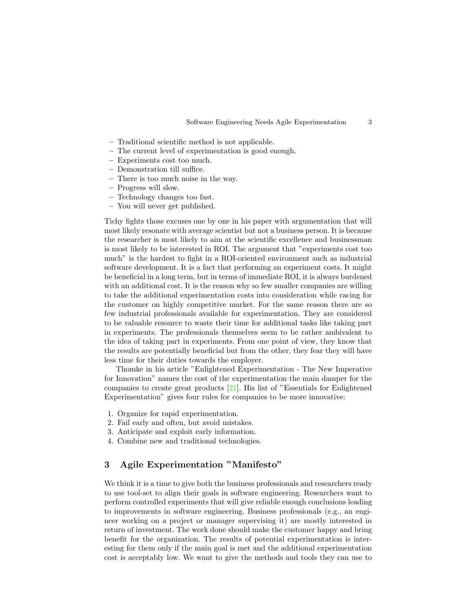- Traditional scientific method is not applicable.
- The current level of experimentation is good enough.
- Experiments cost too much.
- Demonstration till suffice.
- There is too much noise in the way.
- Progress will slow.
- Technology changes too fast.
- You will never get published.

Tichy fights those excuses one by one in his paper with argumentation that will most likely resonate with average scientist but not a business person. It is because the researcher is most likely to aim at the scientific excellence and businessman is most likely to be interested in ROI. The argument that "experiments cost too much" is the hardest to fight in a ROI-oriented environment such as industrial software development. It is a fact that performing an experiment costs. It might be beneficial in a long term, but in terms of immediate ROI, it is always burdened with an additional cost. It is the reason why so few smaller companies are willing to take the additional experimentation costs into consideration while racing for the customer on highly competitive market. For the same reason there are so few industrial professionals available for experimentation. They are considered to be valuable resource to waste their time for additional tasks like taking part in experiments. The professionals themselves seem to be rather ambivalent to the idea of taking part in experiments. From one point of view, they know that the results are potentially beneficial but from the other, they fear they will have less time for their duties towards the employer.

Thomke in his article "Enlightened Experimentation - The New Imperative for Innovation" names the cost of the experimentation the main damper for the companies to create great products [\[21\]](#page-12-5). His list of "Essentials for Enlightened Experimentation" gives four rules for companies to be more innovative:

- 1. Organize for rapid experimentation.
- 2. Fail early and often, but avoid mistakes.
- 3. Anticipate and exploit early information.
- 4. Combine new and traditional technologies.

# <span id="page-2-0"></span>3 Agile Experimentation "Manifesto"

We think it is a time to give both the business professionals and researchers ready to use tool-set to align their goals in software engineering. Researchers want to perform controlled experiments that will give reliable enough conclusions leading to improvements in software engineering. Business professionals (e.g., an engineer working on a project or manager supervising it) are mostly interested in return of investment. The work done should make the customer happy and bring benefit for the organization. The results of potential experimentation is interesting for them only if the main goal is met and the additional experimentation cost is acceptably low. We want to give the methods and tools they can use to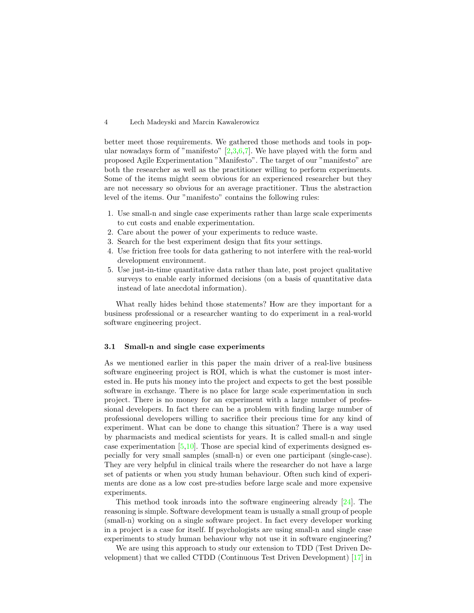better meet those requirements. We gathered those methods and tools in popular nowadays form of "manifesto"  $[2,3,6,7]$  $[2,3,6,7]$  $[2,3,6,7]$  $[2,3,6,7]$ . We have played with the form and proposed Agile Experimentation "Manifesto". The target of our "manifesto" are both the researcher as well as the practitioner willing to perform experiments. Some of the items might seem obvious for an experienced researcher but they are not necessary so obvious for an average practitioner. Thus the abstraction level of the items. Our "manifesto" contains the following rules:

- 1. Use small-n and single case experiments rather than large scale experiments to cut costs and enable experimentation.
- 2. Care about the power of your experiments to reduce waste.
- 3. Search for the best experiment design that fits your settings.
- 4. Use friction free tools for data gathering to not interfere with the real-world development environment.
- 5. Use just-in-time quantitative data rather than late, post project qualitative surveys to enable early informed decisions (on a basis of quantitative data instead of late anecdotal information).

What really hides behind those statements? How are they important for a business professional or a researcher wanting to do experiment in a real-world software engineering project.

#### <span id="page-3-0"></span>3.1 Small-n and single case experiments

As we mentioned earlier in this paper the main driver of a real-live business software engineering project is ROI, which is what the customer is most interested in. He puts his money into the project and expects to get the best possible software in exchange. There is no place for large scale experimentation in such project. There is no money for an experiment with a large number of professional developers. In fact there can be a problem with finding large number of professional developers willing to sacrifice their precious time for any kind of experiment. What can be done to change this situation? There is a way used by pharmacists and medical scientists for years. It is called small-n and single case experimentation  $[5,10]$  $[5,10]$ . Those are special kind of experiments designed especially for very small samples (small-n) or even one participant (single-case). They are very helpful in clinical trails where the researcher do not have a large set of patients or when you study human behaviour. Often such kind of experiments are done as a low cost pre-studies before large scale and more expensive experiments.

This method took inroads into the software engineering already [\[24\]](#page-12-6). The reasoning is simple. Software development team is usually a small group of people (small-n) working on a single software project. In fact every developer working in a project is a case for itself. If psychologists are using small-n and single case experiments to study human behaviour why not use it in software engineering?

We are using this approach to study our extension to TDD (Test Driven Development) that we called CTDD (Continuous Test Driven Development) [\[17\]](#page-12-7) in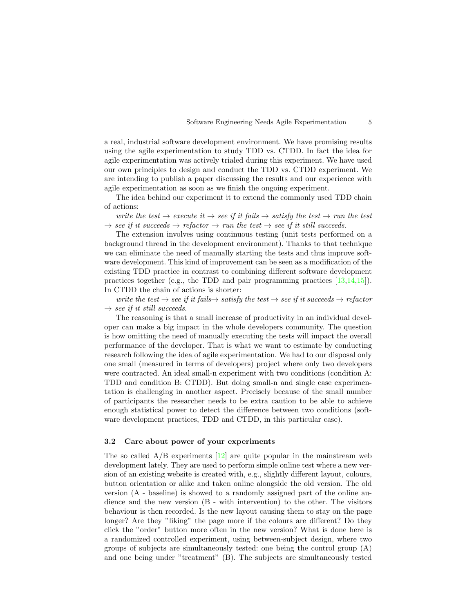a real, industrial software development environment. We have promising results using the agile experimentation to study TDD vs. CTDD. In fact the idea for agile experimentation was actively trialed during this experiment. We have used our own principles to design and conduct the TDD vs. CTDD experiment. We are intending to publish a paper discussing the results and our experience with agile experimentation as soon as we finish the ongoing experiment.

The idea behind our experiment it to extend the commonly used TDD chain of actions:

write the test  $\rightarrow$  execute it  $\rightarrow$  see if it fails  $\rightarrow$  satisfy the test  $\rightarrow$  run the test  $\rightarrow$  see if it succeeds  $\rightarrow$  refactor  $\rightarrow$  run the test  $\rightarrow$  see if it still succeeds.

The extension involves using continuous testing (unit tests performed on a background thread in the development environment). Thanks to that technique we can eliminate the need of manually starting the tests and thus improve software development. This kind of improvement can be seen as a modification of the existing TDD practice in contrast to combining different software development practices together (e.g., the TDD and pair programming practices [\[13,](#page-12-8)[14](#page-12-9)[,15\]](#page-12-10)). In CTDD the chain of actions is shorter:

write the test  $\rightarrow$  see if it fails $\rightarrow$  satisfy the test  $\rightarrow$  see if it succeeds  $\rightarrow$  refactor  $\rightarrow$  see if it still succeeds.

The reasoning is that a small increase of productivity in an individual developer can make a big impact in the whole developers community. The question is how omitting the need of manually executing the tests will impact the overall performance of the developer. That is what we want to estimate by conducting research following the idea of agile experimentation. We had to our disposal only one small (measured in terms of developers) project where only two developers were contracted. An ideal small-n experiment with two conditions (condition A: TDD and condition B: CTDD). But doing small-n and single case experimentation is challenging in another aspect. Precisely because of the small number of participants the researcher needs to be extra caution to be able to achieve enough statistical power to detect the difference between two conditions (software development practices, TDD and CTDD, in this particular case).

## <span id="page-4-0"></span>3.2 Care about power of your experiments

The so called  $A/B$  experiments  $\left[12\right]$  are quite popular in the mainstream web development lately. They are used to perform simple online test where a new version of an existing website is created with, e.g., slightly different layout, colours, button orientation or alike and taken online alongside the old version. The old version (A - baseline) is showed to a randomly assigned part of the online audience and the new version (B - with intervention) to the other. The visitors behaviour is then recorded. Is the new layout causing them to stay on the page longer? Are they "liking" the page more if the colours are different? Do they click the "order" button more often in the new version? What is done here is a randomized controlled experiment, using between-subject design, where two groups of subjects are simultaneously tested: one being the control group (A) and one being under "treatment" (B). The subjects are simultaneously tested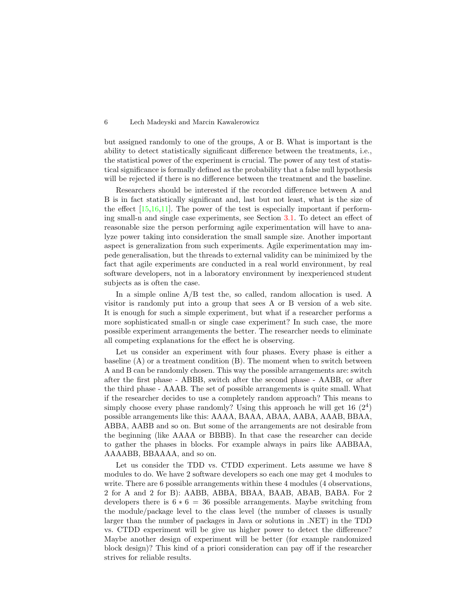but assigned randomly to one of the groups, A or B. What is important is the ability to detect statistically significant difference between the treatments, i.e., the statistical power of the experiment is crucial. The power of any test of statistical significance is formally defined as the probability that a false null hypothesis will be rejected if there is no difference between the treatment and the baseline.

Researchers should be interested if the recorded difference between A and B is in fact statistically significant and, last but not least, what is the size of the effect  $[15,16,11]$  $[15,16,11]$  $[15,16,11]$ . The power of the test is especially important if performing small-n and single case experiments, see Section [3.1.](#page-3-0) To detect an effect of reasonable size the person performing agile experimentation will have to analyze power taking into consideration the small sample size. Another important aspect is generalization from such experiments. Agile experimentation may impede generalisation, but the threads to external validity can be minimized by the fact that agile experiments are conducted in a real world environment, by real software developers, not in a laboratory environment by inexperienced student subjects as is often the case.

In a simple online A/B test the, so called, random allocation is used. A visitor is randomly put into a group that sees A or B version of a web site. It is enough for such a simple experiment, but what if a researcher performs a more sophisticated small-n or single case experiment? In such case, the more possible experiment arrangements the better. The researcher needs to eliminate all competing explanations for the effect he is observing.

Let us consider an experiment with four phases. Every phase is either a baseline  $(A)$  or a treatment condition  $(B)$ . The moment when to switch between A and B can be randomly chosen. This way the possible arrangements are: switch after the first phase - ABBB, switch after the second phase - AABB, or after the third phase - AAAB. The set of possible arrangements is quite small. What if the researcher decides to use a completely random approach? This means to simply choose every phase randomly? Using this approach he will get  $16 \ (2^4)$ possible arrangements like this: AAAA, BAAA, ABAA, AABA, AAAB, BBAA, ABBA, AABB and so on. But some of the arrangements are not desirable from the beginning (like AAAA or BBBB). In that case the researcher can decide to gather the phases in blocks. For example always in pairs like AABBAA, AAAABB, BBAAAA, and so on.

Let us consider the TDD vs. CTDD experiment. Lets assume we have 8 modules to do. We have 2 software developers so each one may get 4 modules to write. There are 6 possible arrangements within these 4 modules (4 observations, 2 for A and 2 for B): AABB, ABBA, BBAA, BAAB, ABAB, BABA. For 2 developers there is  $6 * 6 = 36$  possible arrangements. Maybe switching from the module/package level to the class level (the number of classes is usually larger than the number of packages in Java or solutions in .NET) in the TDD vs. CTDD experiment will be give us higher power to detect the difference? Maybe another design of experiment will be better (for example randomized block design)? This kind of a priori consideration can pay off if the researcher strives for reliable results.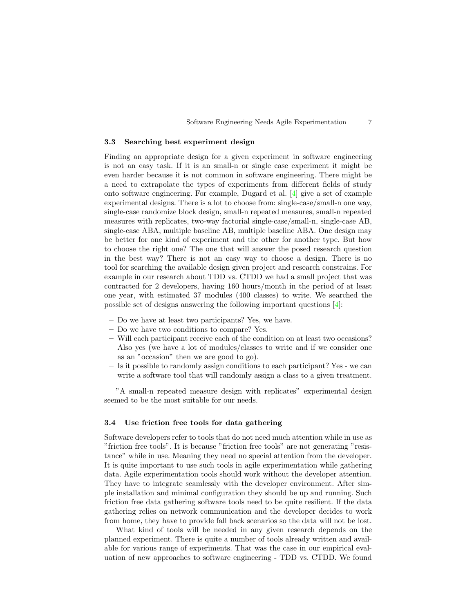### 3.3 Searching best experiment design

Finding an appropriate design for a given experiment in software engineering is not an easy task. If it is an small-n or single case experiment it might be even harder because it is not common in software engineering. There might be a need to extrapolate the types of experiments from different fields of study onto software engineering. For example, Dugard et al. [\[4\]](#page-11-9) give a set of example experimental designs. There is a lot to choose from: single-case/small-n one way, single-case randomize block design, small-n repeated measures, small-n repeated measures with replicates, two-way factorial single-case/small-n, single-case AB, single-case ABA, multiple baseline AB, multiple baseline ABA. One design may be better for one kind of experiment and the other for another type. But how to choose the right one? The one that will answer the posed research question in the best way? There is not an easy way to choose a design. There is no tool for searching the available design given project and research constrains. For example in our research about TDD vs. CTDD we had a small project that was contracted for 2 developers, having 160 hours/month in the period of at least one year, with estimated 37 modules (400 classes) to write. We searched the possible set of designs answering the following important questions [\[4\]](#page-11-9):

- Do we have at least two participants? Yes, we have.
- Do we have two conditions to compare? Yes.
- Will each participant receive each of the condition on at least two occasions? Also yes (we have a lot of modules/classes to write and if we consider one as an "occasion" then we are good to go).
- Is it possible to randomly assign conditions to each participant? Yes we can write a software tool that will randomly assign a class to a given treatment.

"A small-n repeated measure design with replicates" experimental design seemed to be the most suitable for our needs.

## <span id="page-6-0"></span>3.4 Use friction free tools for data gathering

Software developers refer to tools that do not need much attention while in use as "friction free tools". It is because "friction free tools" are not generating "resistance" while in use. Meaning they need no special attention from the developer. It is quite important to use such tools in agile experimentation while gathering data. Agile experimentation tools should work without the developer attention. They have to integrate seamlessly with the developer environment. After simple installation and minimal configuration they should be up and running. Such friction free data gathering software tools need to be quite resilient. If the data gathering relies on network communication and the developer decides to work from home, they have to provide fall back scenarios so the data will not be lost.

What kind of tools will be needed in any given research depends on the planned experiment. There is quite a number of tools already written and available for various range of experiments. That was the case in our empirical evaluation of new approaches to software engineering - TDD vs. CTDD. We found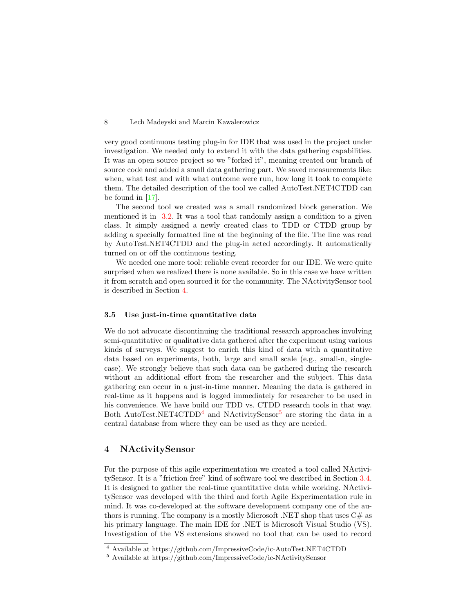very good continuous testing plug-in for IDE that was used in the project under investigation. We needed only to extend it with the data gathering capabilities. It was an open source project so we "forked it", meaning created our branch of source code and added a small data gathering part. We saved measurements like: when, what test and with what outcome were run, how long it took to complete them. The detailed description of the tool we called AutoTest.NET4CTDD can be found in [\[17\]](#page-12-7).

The second tool we created was a small randomized block generation. We mentioned it in [3.2.](#page-4-0) It was a tool that randomly assign a condition to a given class. It simply assigned a newly created class to TDD or CTDD group by adding a specially formatted line at the beginning of the file. The line was read by AutoTest.NET4CTDD and the plug-in acted accordingly. It automatically turned on or off the continuous testing.

We needed one more tool: reliable event recorder for our IDE. We were quite surprised when we realized there is none available. So in this case we have written it from scratch and open sourced it for the community. The NActivitySensor tool is described in Section [4.](#page-7-0)

### 3.5 Use just-in-time quantitative data

We do not advocate discontinuing the traditional research approaches involving semi-quantitative or qualitative data gathered after the experiment using various kinds of surveys. We suggest to enrich this kind of data with a quantitative data based on experiments, both, large and small scale (e.g., small-n, singlecase). We strongly believe that such data can be gathered during the research without an additional effort from the researcher and the subject. This data gathering can occur in a just-in-time manner. Meaning the data is gathered in real-time as it happens and is logged immediately for researcher to be used in his convenience. We have build our TDD vs. CTDD research tools in that way. Both AutoTest.NET[4](#page-7-1)CTDD<sup>4</sup> and NActivitySensor<sup>[5](#page-7-2)</sup> are storing the data in a central database from where they can be used as they are needed.

## <span id="page-7-0"></span>4 NActivitySensor

For the purpose of this agile experimentation we created a tool called NActivitySensor. It is a "friction free" kind of software tool we described in Section [3.4.](#page-6-0) It is designed to gather the real-time quantitative data while working. NActivitySensor was developed with the third and forth Agile Experimentation rule in mind. It was co-developed at the software development company one of the authors is running. The company is a mostly Microsoft .NET shop that uses  $C\#$  as his primary language. The main IDE for .NET is Microsoft Visual Studio (VS). Investigation of the VS extensions showed no tool that can be used to record

<span id="page-7-1"></span><sup>4</sup> Available at https://github.com/ImpressiveCode/ic-AutoTest.NET4CTDD

<span id="page-7-2"></span><sup>5</sup> Available at https://github.com/ImpressiveCode/ic-NActivitySensor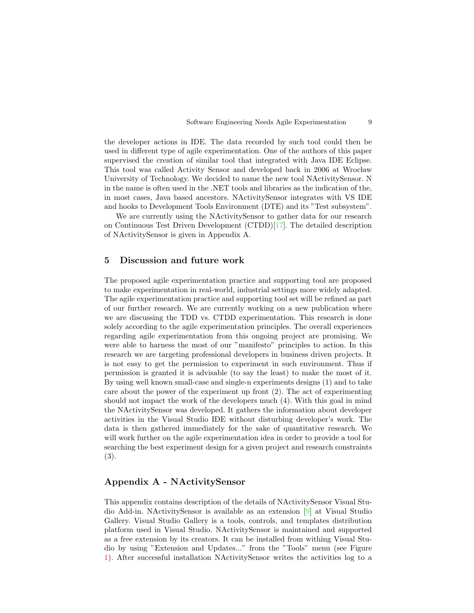the developer actions in IDE. The data recorded by such tool could then be used in different type of agile experimentation. One of the authors of this paper supervised the creation of similar tool that integrated with Java IDE Eclipse. This tool was called Activity Sensor and developed back in 2006 at Wrocław University of Technology. We decided to name the new tool NActivitySensor. N in the name is often used in the .NET tools and libraries as the indication of the, in most cases, Java based ancestors. NActivitySensor integrates with VS IDE and hooks to Development Tools Environment (DTE) and its "Test subsystem".

We are currently using the NActivitySensor to gather data for our research on Continuous Test Driven Development (CTDD)[\[17\]](#page-12-7). The detailed description of NActivitySensor is given in Appendix A.

## <span id="page-8-0"></span>5 Discussion and future work

The proposed agile experimentation practice and supporting tool are proposed to make experimentation in real-world, industrial settings more widely adapted. The agile experimentation practice and supporting tool set will be refined as part of our further research. We are currently working on a new publication where we are discussing the TDD vs. CTDD experimentation. This research is done solely according to the agile experimentation principles. The overall experiences regarding agile experimentation from this ongoing project are promising. We were able to harness the most of our "manifesto" principles to action. In this research we are targeting professional developers in business driven projects. It is not easy to get the permission to experiment in such environment. Thus if permission is granted it is advisable (to say the least) to make the most of it. By using well known small-case and single-n experiments designs (1) and to take care about the power of the experiment up front (2). The act of experimenting should not impact the work of the developers much (4). With this goal in mind the NActivitySensor was developed. It gathers the information about developer activities in the Visual Studio IDE without disturbing developer's work. The data is then gathered immediately for the sake of quantitative research. We will work further on the agile experimentation idea in order to provide a tool for searching the best experiment design for a given project and research constraints (3).

# Appendix A - NActivitySensor

This appendix contains description of the details of NActivitySensor Visual Studio Add-in. NActivitySensor is available as an extension [\[9\]](#page-11-10) at Visual Studio Gallery. Visual Studio Gallery is a tools, controls, and templates distribution platform used in Visual Studio. NActivitySensor is maintained and supported as a free extension by its creators. It can be installed from withing Visual Studio by using "Extension and Updates..." from the "Tools" menu (see Figure [1\)](#page-9-0). After successful installation NActivitySensor writes the activities log to a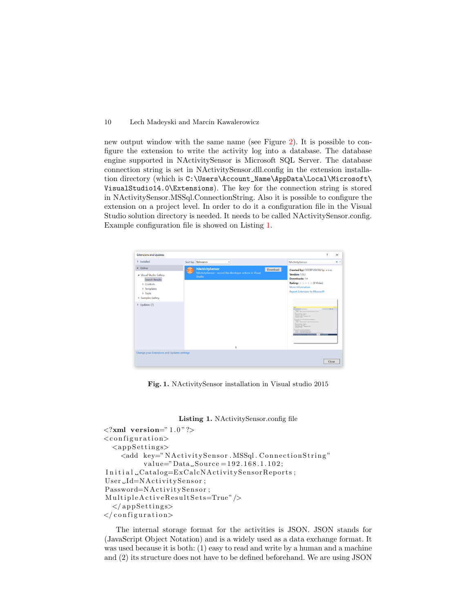new output window with the same name (see Figure [2\)](#page-11-11). It is possible to configure the extension to write the activity log into a database. The database engine supported in NActivitySensor is Microsoft SQL Server. The database connection string is set in NActivitySensor.dll.config in the extension installation directory (which is C:\Users\Account\_Name\AppData\Local\Microsoft\ VisualStudio14.0\Extensions). The key for the connection string is stored in NActivitySensor.MSSql.ConnectionString. Also it is possible to configure the extension on a project level. In order to do it a configuration file in the Visual Studio solution directory is needed. It needs to be called NActivitySensor.config. Example configuration file is showed on Listing [1.](#page-9-1)

| <b>Extensions and Updates</b>                                                                                                                    |  |                                                                                              |          |                                                                                                                                                                                                                                                                                                                                                                                                                                                                                                                                                                                                                                                                                                                                                                                                                                                                                                                                                                                          | 7 | $\times$ |  |
|--------------------------------------------------------------------------------------------------------------------------------------------------|--|----------------------------------------------------------------------------------------------|----------|------------------------------------------------------------------------------------------------------------------------------------------------------------------------------------------------------------------------------------------------------------------------------------------------------------------------------------------------------------------------------------------------------------------------------------------------------------------------------------------------------------------------------------------------------------------------------------------------------------------------------------------------------------------------------------------------------------------------------------------------------------------------------------------------------------------------------------------------------------------------------------------------------------------------------------------------------------------------------------------|---|----------|--|
| $\triangleright$ Installed                                                                                                                       |  | Sort by: Relevance<br>٠                                                                      |          | NActivitySensor                                                                                                                                                                                                                                                                                                                                                                                                                                                                                                                                                                                                                                                                                                                                                                                                                                                                                                                                                                          |   | $x -$    |  |
| 4 Online<br>▲ Visual Studio Gallery<br><b>Search Results</b><br><b>D</b> Controls<br><b>D</b> Templates<br>$D$ Tools<br><b>D</b> Samples Gallery |  | <b>NActivitySensor</b><br>NActivitySensor - record the developer actions in Visual<br>Studio | Download | Created by: CODEFUSION Sp. z o.o.<br>Version: 1.0.2<br>Downloads: 14<br><b>Rating:</b> $\star \star \star \star \star \star (0 \text{ Votes})$<br>More Information<br><b>Report Extension to Microsoft</b>                                                                                                                                                                                                                                                                                                                                                                                                                                                                                                                                                                                                                                                                                                                                                                               |   |          |  |
| $\nu$ Updates (7)                                                                                                                                |  |                                                                                              |          | <b>Box sign full</b> , MAA/ene<br>$\begin{tabular}{ c c c } \hline $b_{\rm{1D},\rm{2D},\rm{2D},\rm{2D}}$ & $b_{\rm{1D},\rm{2D}}$\\ \hline $b_{\rm{1D},\rm{2D},\rm{2D},\rm{2D}}$ & $b_{\rm{1D},\rm{2D},\rm{2D}}$ & $b_{\rm{1D},\rm{2D},\rm{2D}}$ & $b_{\rm{1D},\rm{2D},\rm{2D}}$ \\ \hline $b_{\rm{1D},\rm{2D},\rm{2D},\rm{2D},\rm{2D},\rm{2D},\rm{2D},\rm{2D},\rm$<br>(m.m.mo screen) (miliarcountiguos) (<br>The part's it.<br>The construction of the construction of the construction of the construction of<br>$\begin{array}{l} \displaystyle\limsup_{n\rightarrow\infty}\sup_{\alpha\in\mathbb{R}}\sum_{\nu\in\mathbb{Z}}\sup_{\alpha\in\mathbb{Z}}\alpha\mu_{\alpha} \\ \displaystyle\limsup_{n\rightarrow\infty}\sup_{\alpha\in\mathbb{Z}}\sum_{\nu\in\mathbb{Z}}\sup_{\alpha\in\mathbb{Z}}\alpha\mu_{\alpha} \\ \displaystyle\limsup_{n\rightarrow\infty}\sup_{\alpha\in\mathbb{Z}}\alpha\mu_{\alpha} \end{array}$<br>(m.m.mo or must) (melodow) (<br>Termin Transitionsmitters |   | $\sim$   |  |
| Change your Extensions and Updates settings<br>Close                                                                                             |  |                                                                                              |          |                                                                                                                                                                                                                                                                                                                                                                                                                                                                                                                                                                                                                                                                                                                                                                                                                                                                                                                                                                                          |   |          |  |

<span id="page-9-0"></span>Fig. 1. NActivitySensor installation in Visual studio 2015

Listing 1. NActivitySensor.config file

```
\langle?xml version="1.0"?>
<configuration>\langleappSettings>
    <add key=" NActivity Sensor . MSSql. Connection String"
          value="Data\_Source = 192.168.1.102;Initial_Catalog=ExCalcNActivitySensorReports;
User \text{-}Id=\text{NActivitySensor};
Password=NA ctivity Sensor;
MultipleActiveResultSets=True"\langle appSettings>
\langle configuration>
```
The internal storage format for the activities is JSON. JSON stands for (JavaScript Object Notation) and is a widely used as a data exchange format. It was used because it is both: (1) easy to read and write by a human and a machine and (2) its structure does not have to be defined beforehand. We are using JSON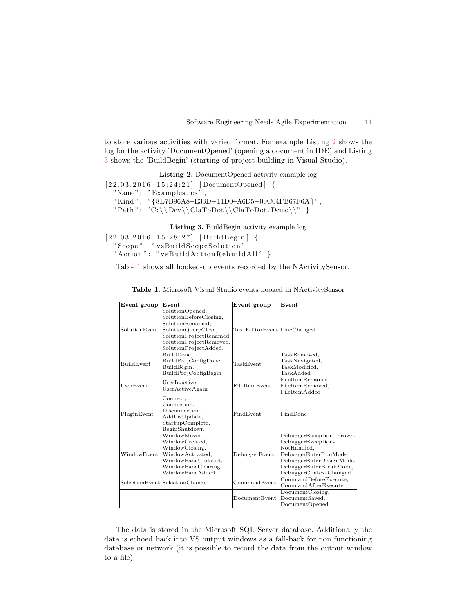to store various activities with varied format. For example Listing [2](#page-10-0) shows the log for the activity 'DocumentOpened' (opening a document in IDE) and Listing [3](#page-10-1) shows the 'BuildBegin' (starting of project building in Visual Studio).

Listing 2. DocumentOpened activity example log

<span id="page-10-0"></span> $[22.03.2016 \quad 15:24:21] \quad [\text{DocumentOpened}] \quad \{$ "Name": "Examples.cs", "Kind": "{8E7B96A8-E33D-11D0-A6D5-00C04FB67F6A}",  $"Path": "C:\\\Dev\\ClaToDot\\CalaToDot$ . Demo $\\"$ 

Listing 3. BuildBegin activity example log

```
[22.03.2016 \t15:28:27] [BuildBegin] {
 " Scope": " vsBuildScopeSolution",
 " Action ": " vsBuildActionRebuildAll" }
```
Table [1](#page-10-2) shows all hooked-up events recorded by the NActivitySensor.

| Event group       | Event                                                                                                                                                               | Event group                 | Event                                                                                                                                                                   |
|-------------------|---------------------------------------------------------------------------------------------------------------------------------------------------------------------|-----------------------------|-------------------------------------------------------------------------------------------------------------------------------------------------------------------------|
| SolutionEvent     | SolutionOpened,<br>SolutionBeforeClosing,<br>SolutionRenamed,<br>SolutionQueryClose,<br>SolutionProjectRenamed,<br>SolutionProjectRemoved,<br>SolutionProjectAdded, | TextEditorEvent LineChanged |                                                                                                                                                                         |
| <b>BuildEvent</b> | BuildDone,<br>BuildProjConfigDone,<br>BuildBegin,<br>BuildProjConfigBegin                                                                                           | TaskEvent                   | TaskRemoved,<br>TaskNavigated,<br>TaskModified.<br><b>TaskAdded</b>                                                                                                     |
| UserEvent         | UserInactive.<br>UserActiveAgain                                                                                                                                    | FileItemEvent               | FileItemRenamed,<br>FileItemRemoved,<br>FileItem Added                                                                                                                  |
| PluginEvent       | Connect,<br>Connection,<br>Disconnection,<br>AddInsUpdate,<br>StartupComplete,<br>BeginShutdown                                                                     | FindEvent                   | FindDone                                                                                                                                                                |
| WindowEvent       | WindowMoved,<br>WindowCreated,<br>WindowClosing,<br>WindowActivated,<br>WindowPaneUpdated,<br>WindowPaneClearing,<br>WindowPaneAdded                                | DebuggerEvent               | DebuggerExceptionThrown,<br>DebuggerException-<br>NotHandled,<br>DebuggerEnterRunMode,<br>DebuggerEnterDesignMode,<br>DebuggerEnterBreakMode,<br>DebuggerContextChanged |
|                   | SelectionEvent SelectionChange                                                                                                                                      | CommandEvent                | CommandBeforeExecute,<br>CommandAfterExecute                                                                                                                            |
|                   |                                                                                                                                                                     | DocumentEvent               | DocumentClosing,<br>DocumentSaved,<br>DocumentOpened                                                                                                                    |

<span id="page-10-2"></span>Table 1. Microsoft Visual Studio events hooked in NActivitySensor

The data is stored in the Microsoft SQL Server database. Additionally the data is echoed back into VS output windows as a fall-back for non functioning database or network (it is possible to record the data from the output window to a file).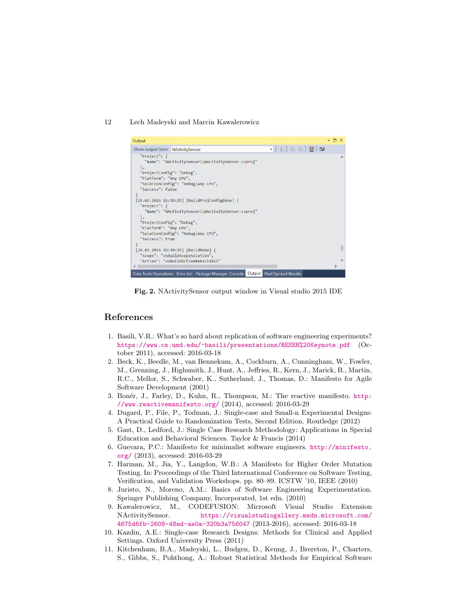12 Lech Madeyski and Marcin Kawalerowicz



Fig. 2. NActivitySensor output window in Visual studio 2015 IDE

# <span id="page-11-11"></span>References

- <span id="page-11-1"></span>1. Basili, V.R.: What's so hard about replication of software engineering experiments? <https://www.cs.umd.edu/~basili/presentations/RESER%20Keynote.pdf> (October 2011), accessed: 2016-03-18
- <span id="page-11-2"></span>2. Beck, K., Beedle, M., van Bennekum, A., Cockburn, A., Cunningham, W., Fowler, M., Grenning, J., Highsmith, J., Hunt, A., Jeffries, R., Kern, J., Marick, B., Martin, R.C., Mellor, S., Schwaber, K., Sutherland, J., Thomas, D.: Manifesto for Agile Software Development (2001)
- <span id="page-11-3"></span>3. Bonér, J., Farley, D., Kuhn, R., Thompson, M.: The reactive manifesto. [http:](http://www.reactivemanifesto.org/) [//www.reactivemanifesto.org/](http://www.reactivemanifesto.org/) (2014), accessed: 2016-03-29
- <span id="page-11-9"></span>4. Dugard, P., File, P., Todman, J.: Single-case and Small-n Experimental Designs: A Practical Guide to Randomization Tests, Second Edition. Routledge (2012)
- <span id="page-11-6"></span>5. Gast, D., Ledford, J.: Single Case Research Methodology: Applications in Special Education and Behavioral Sciences. Taylor & Francis (2014)
- <span id="page-11-4"></span>6. Guevara, P.C.: Manifesto for minimalist software engineers. [http://minifesto.](http://minifesto.org/) [org/](http://minifesto.org/) (2013), accessed: 2016-03-29
- <span id="page-11-5"></span>7. Harman, M., Jia, Y., Langdon, W.B.: A Manifesto for Higher Order Mutation Testing. In: Proceedings of the Third International Conference on Software Testing, Verification, and Validation Workshops. pp. 80–89. ICSTW '10, IEEE (2010)
- <span id="page-11-0"></span>8. Juristo, N., Moreno, A.M.: Basics of Software Engineering Experimentation. Springer Publishing Company, Incorporated, 1st edn. (2010)
- <span id="page-11-10"></span>9. Kawalerowicz, M., CODEFUSION: Microsoft Visual Studio Extension NActivitySensor. [https://visualstudiogallery.msdn.microsoft.com/](https://visualstudiogallery.msdn.microsoft.com/4675d6fb-2608-48ed-ae0a-320b3a756047) [4675d6fb-2608-48ed-ae0a-320b3a756047](https://visualstudiogallery.msdn.microsoft.com/4675d6fb-2608-48ed-ae0a-320b3a756047) (2013-2016), accessed: 2016-03-18
- <span id="page-11-7"></span>10. Kazdin, A.E.: Single-case Research Designs: Methods for Clinical and Applied Settings. Oxford University Press (2011)
- <span id="page-11-8"></span>11. Kitchenham, B.A., Madeyski, L., Budgen, D., Keung, J., Brereton, P., Charters, S., Gibbs, S., Pohthong, A.: Robust Statistical Methods for Empirical Software